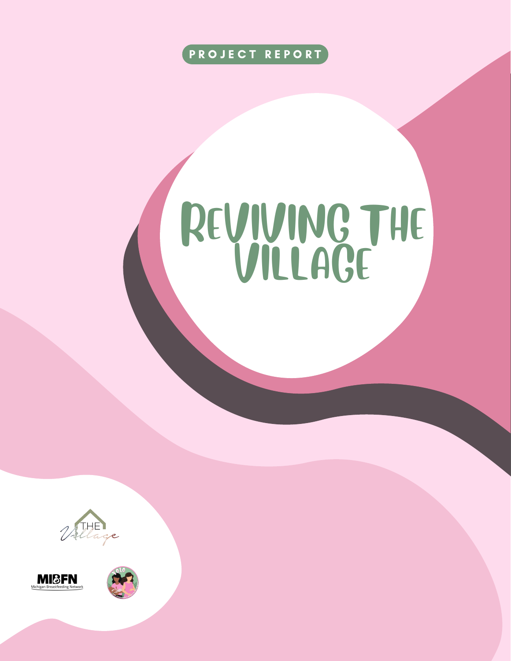

# REVIVING THE VILLAGE





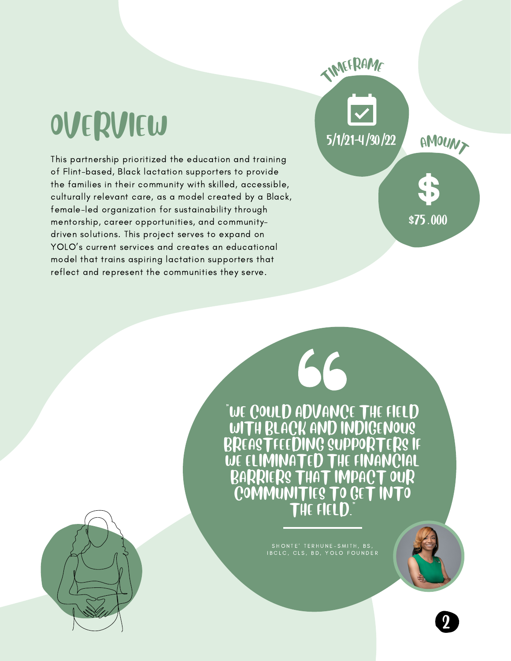# OVERVIEW

This partnership prioritized the education and training of Flint-based, Black lactation supporters to provide the families in their community with skilled, accessible, culturally relevant care, as a model created by a Black, female-led organization for sustainability through mentorship, career opportunities, and communitydriven solutions. This project serves to expand on YOLO's current services and creates an educational model that trains aspiring lactation supporters that reflect and represent the communities they serve.

> "WE COULD ADVANCE THE FIELD WITH BLACK AND INDIGENOUS BREASTFEEDING SUPPORTERS IF NATED THE FINANCIAL BARRIERS THAT IMPACT OUR COMMUNITIES TO GET INTO THE FIELD."

66

T<sup>I</sup>M<sup>E</sup>FRAM<sup>E</sup>

5/1/21-4/30/22

SHONTE' TERHUNE-SMITH, BS, IBCLC, CLS, BD, YOLO FOUNDER



2

AMOUNT

 $\overline{$}75.000$ 

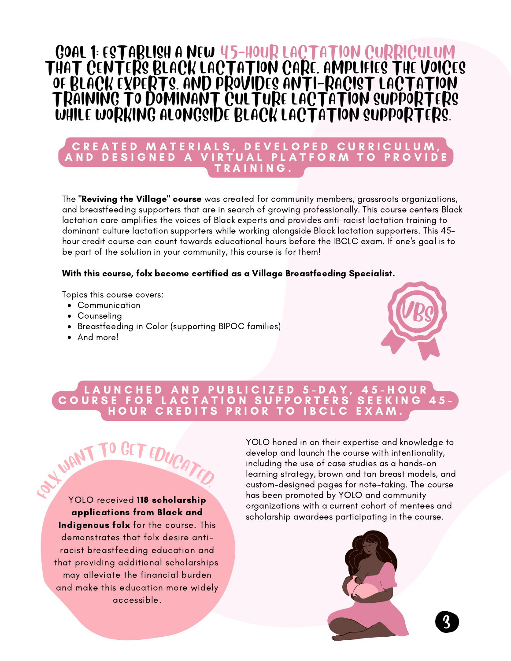### GOAL 1: ESTABLISH A NEW 45-HOUR LACTATION CURRICULUM THAT CENTERS BLACK LACTATION CARE, AMPLIFIES THE VOICES OF BLACK EXPERTS, AND PROVIDES ANTI-RACIST LACTATION TRAINING TO DOMINANT CULTURE LACTATION SUPPORTERS WHILE WORKING ALONGSIDE BLACK LACTATION SUPPORTERS.

#### C R E A T E D M A T E R I A L S, D E V E L O P E D C U R R I C U L U M .ND DESIGNED A VIRTUAL PLATFORM TO PROVIDE TRAINING.

The "Reviving the Village" course was created for community members, grassroots organizations, and breastfeeding supporters that are in search of growing professionally. This course centers Black lactation care amplifies the voices of Black experts and provides anti-racist lactation training to dominant culture lactation supporters while working alongside Black lactation supporters. This 45 hour credit course can count towards educational hours before the IBCLC exam. If one's goal is to be part of the solution in your community, this course is for them!

#### With this course, folx become certified as a Village Breastfeeding Specialist.

Topics this course covers:

- Communication
- Counseling
- Breastfeeding in Color (supporting BIPOC families)

T EDUCATED.

• And more!

WANT TO



#### L A U N C H E D A N D P U B L I C I Z E D 5 - D A Y , 4 5 - H O U R C O U R S E F O R L A C T A T I O N S U P P O R T E R S S E E K I N G 4 5 - HOUR CREDITS PRIOR TO IBCLC EXAM

YOLO received 118 scholarship applications from Black and Indigenous folx for the course. This demonstrates that folx desire antiracist breastfeeding education and that providing additional scholarships may alleviate the financial burden and make this education more widely accessible.  $\mathcal{E}_{\mathcal{E}}$ 

YOLO honed in on their expertise and knowledge to develop and launch the course with intentionality, including the use of case studies as a hands-on learning strategy, brown and tan breast models, and custom-designed pages for note-taking. The course has been promoted by YOLO and community organizations with a current cohort of mentees and scholarship awardees participating in the course.



3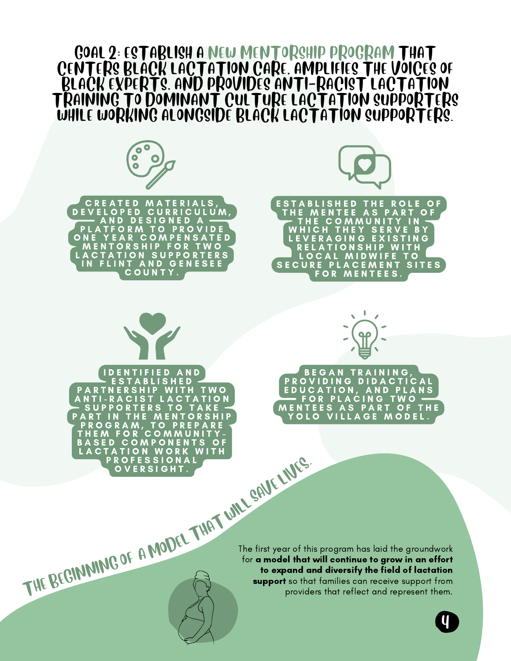

4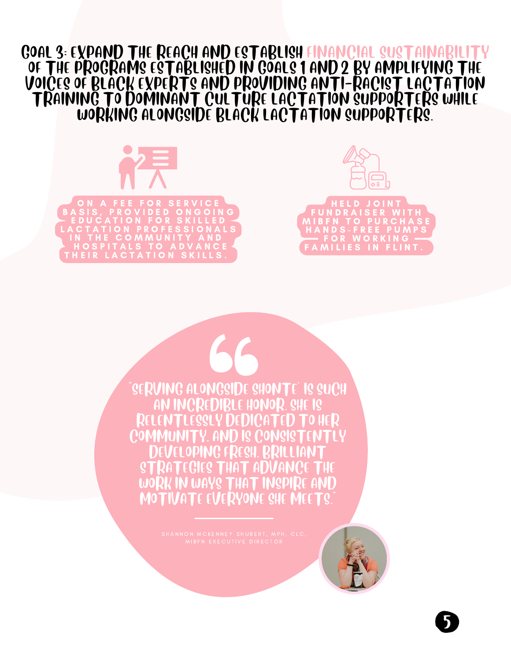### GOAL 3: EXPAND THE REACH AND ESTABLISH FINANCIAL SUSTAINABILITY OF THE PROGRAMS ESTABLISHED IN GOALS 1 AND 2 BY AMPLIFYING THE VOICES OF BLACK EXPERTS AND PROVIDING ANTI-RACIST LACTATION TRAINING TO DOMINANT CULTURE LACTATION SUPPORTERS WHILE WORKING ALONGSIDE BLACK LACTATION SUPPORTERS.





"SERVING ALONGSIDE SHONTE' IS SUCH AN INCREDIBLE HONOR. SHE IS LENTLESSLY DEDICATED T Y, AND IS CONSIST DEVELOPING FRESH, BRILLIANT STRATEGIES THAT ADVANCE THE WORK IN WAYS THAT INSPIRE AND MOTIVATE EVERYONE SHE MEETS."



5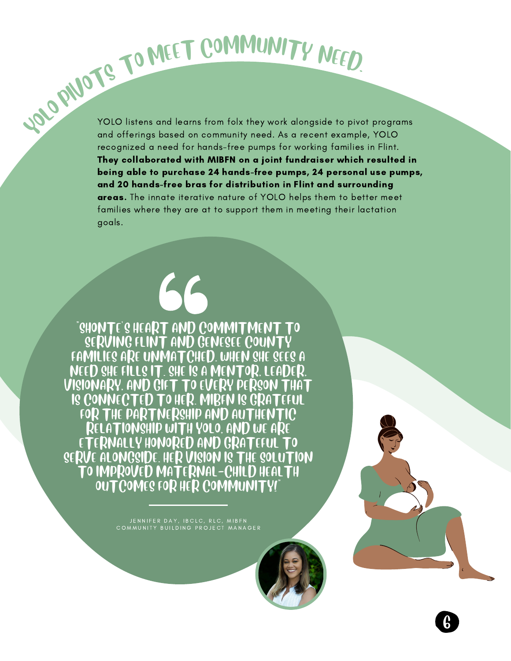YOLO listens and learns from folx they work alongside to pivot programs TO MEET COMMUNITY NEED.<br>YOLO PIVOTS TO MEET COMMUNITY NEED.<br>And offerings based on community need. As a recent example, YOLO recognized a need for hands-free pumps for working families in Flint. They collaborated with MIBFN on a joint fundraiser which resulted in being able to purchase 24 hands-free pumps, 24 personal use pumps, and 20 hands-free bras for distribution in Flint and surrounding areas. The innate iterative nature of YOLO helps them to better meet families where they are at to support them in meeting their lactation goals.

6

"SHONTE'S HEART AND COMMITMENT TO SERVING FLINT AND GENESEE COUNTY FAMILIES ARE UNMATCHED. WHEN SHE SEES A NEED SHE FILLS IT. SHE IS A MENTOR, LEADER, VISIONARY, AND GIFT TO EVERY PERSON THAT IS CONNECTED TO HER. MIBFN IS GRATEFUL FOR THE PARTNERSHIP AND AUTHENTIC RELATIONSHIP WITH YOLO, AND WE ARE ETERNALLY HONORED AND GRATEFUL TO SERVE ALONGSIDE. HER VISION IS THE SOLUTION TO IMPROVED MATERNAL-CHILD HEALTH OUTCOMES FOR HER COMMUNITY!"

> JENNIFER DAY, IBCLC, RLC, MIBFN COMMUNITY BUILDING PROJECT MANAGER